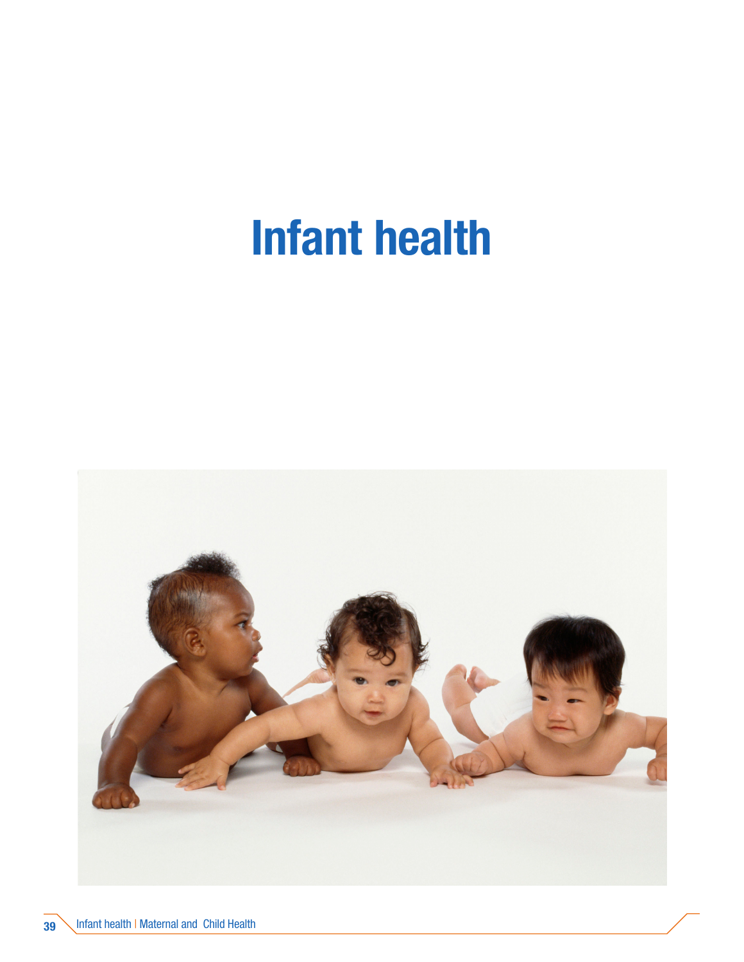# Infant health

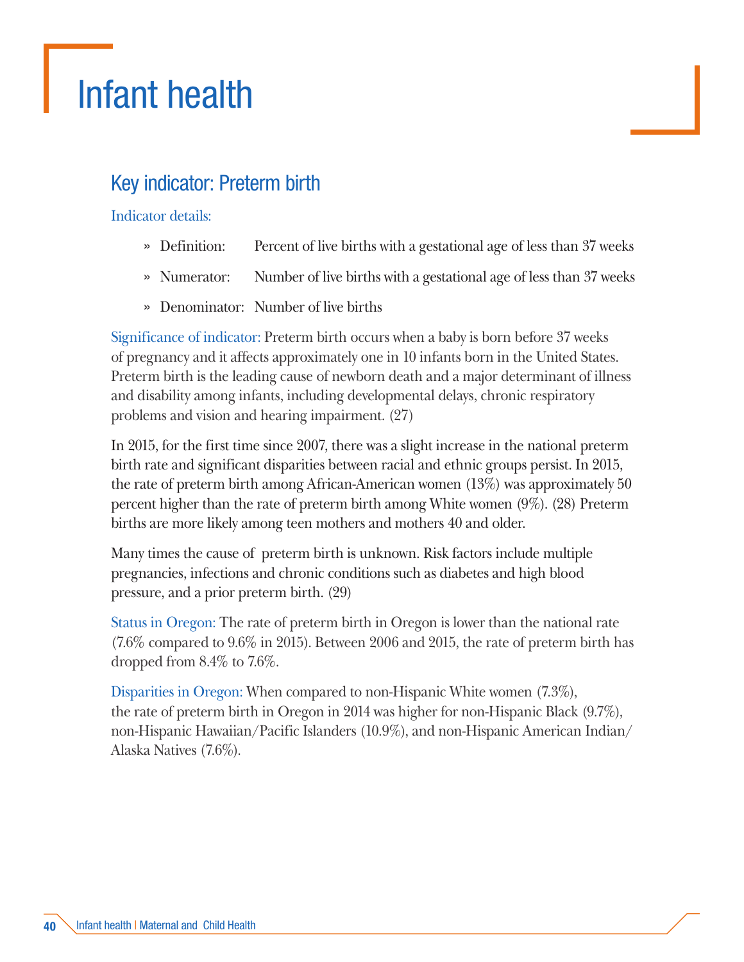# Infant health

# Key indicator: Preterm birth

#### Indicator details:

- » Definition: Percent of live births with a gestational age of less than 37 weeks
- » Numerator: Number of live births with a gestational age of less than 37 weeks
- » Denominator: Number of live births

Significance of indicator: Preterm birth occurs when a baby is born before 37 weeks of pregnancy and it affects approximately one in 10 infants born in the United States. Preterm birth is the leading cause of newborn death and a major determinant of illness and disability among infants, including developmental delays, chronic respiratory problems and vision and hearing impairment. (27)

In 2015, for the first time since 2007, there was a slight increase in the national preterm birth rate and significant disparities between racial and ethnic groups persist. In 2015, the rate of preterm birth among African-American women (13%) was approximately 50 percent higher than the rate of preterm birth among White women (9%). (28) Preterm births are more likely among teen mothers and mothers 40 and older.

Many times the cause of preterm birth is unknown. Risk factors include multiple pregnancies, infections and chronic conditions such as diabetes and high blood pressure, and a prior preterm birth. (29)

Status in Oregon: The rate of preterm birth in Oregon is lower than the national rate (7.6% compared to 9.6% in 2015). Between 2006 and 2015, the rate of preterm birth has dropped from 8.4% to 7.6%.

Disparities in Oregon: When compared to non-Hispanic White women (7.3%), the rate of preterm birth in Oregon in 2014 was higher for non-Hispanic Black (9.7%), non-Hispanic Hawaiian/Pacific Islanders (10.9%), and non-Hispanic American Indian/ Alaska Natives (7.6%).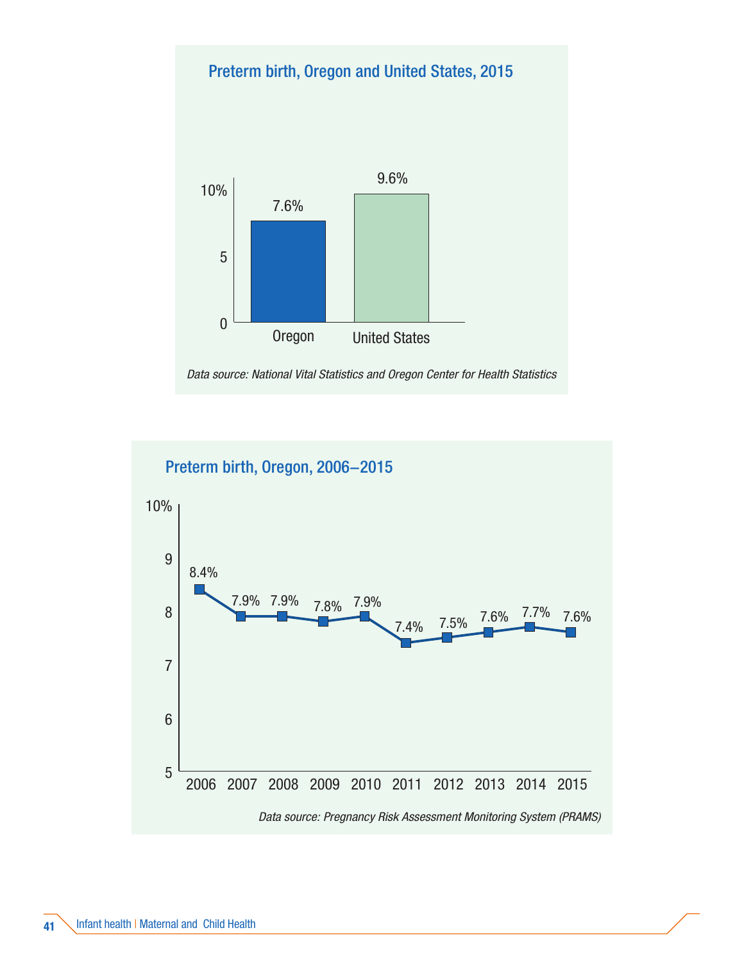#### Preterm birth, Oregon and United States, 2015



*Data source: National Vital Statistics and Oregon Center for Health Statistics*

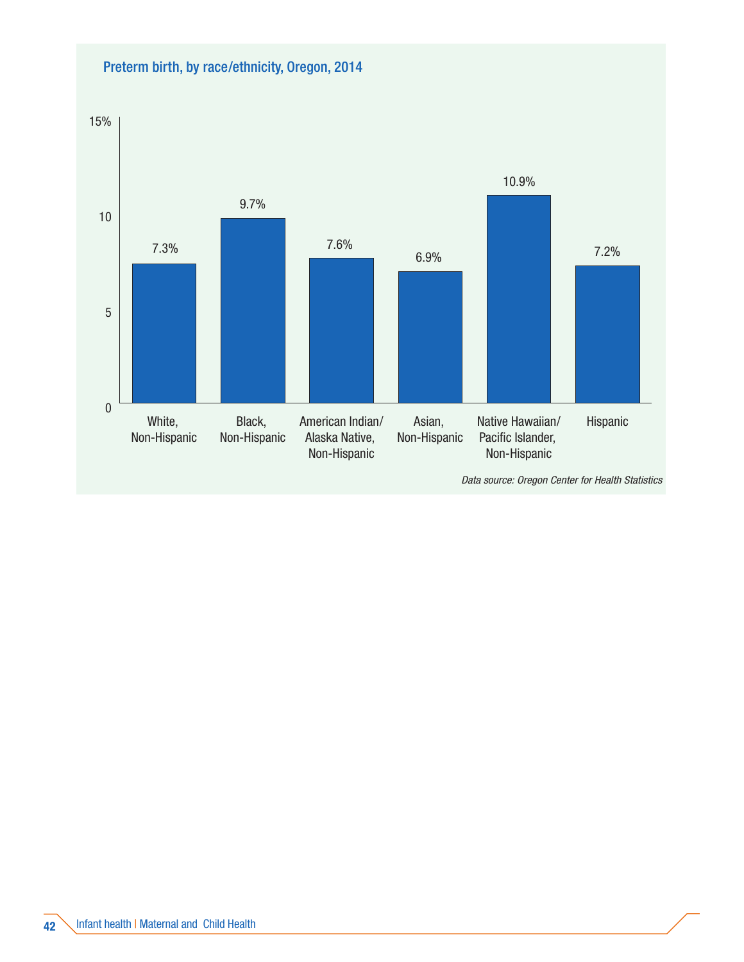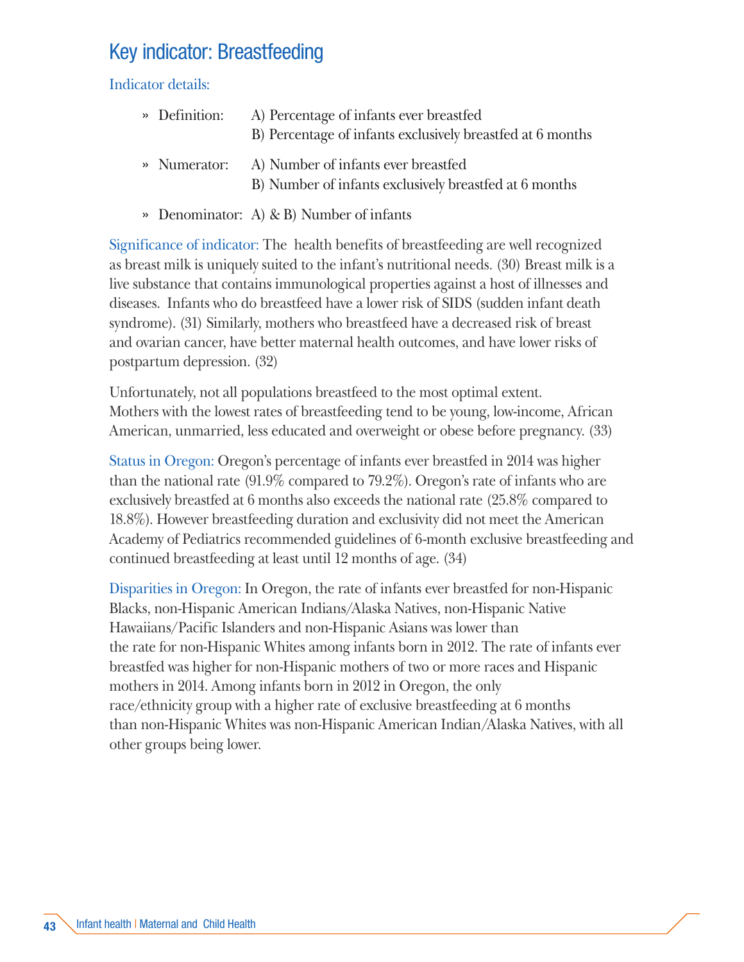# Key indicator: Breastfeeding

Indicator details:

| » Definition: | A) Percentage of infants ever breastfed<br>B) Percentage of infants exclusively breastfed at 6 months |
|---------------|-------------------------------------------------------------------------------------------------------|
| » Numerator:  | A) Number of infants ever breastfed                                                                   |

- B) Number of infants exclusively breastfed at 6 months
- » Denominator: A) & B) Number of infants

Significance of indicator: The health benefits of breastfeeding are well recognized as breast milk is uniquely suited to the infant's nutritional needs. (30) Breast milk is a live substance that contains immunological properties against a host of illnesses and diseases. Infants who do breastfeed have a lower risk of SIDS (sudden infant death syndrome). (31) Similarly, mothers who breastfeed have a decreased risk of breast and ovarian cancer, have better maternal health outcomes, and have lower risks of postpartum depression. (32)

Unfortunately, not all populations breastfeed to the most optimal extent. Mothers with the lowest rates of breastfeeding tend to be young, low-income, African American, unmarried, less educated and overweight or obese before pregnancy. (33)

Status in Oregon: Oregon's percentage of infants ever breastfed in 2014 was higher than the national rate (91.9% compared to 79.2%). Oregon's rate of infants who are exclusively breastfed at 6 months also exceeds the national rate (25.8% compared to 18.8%). However breastfeeding duration and exclusivity did not meet the American Academy of Pediatrics recommended guidelines of 6-month exclusive breastfeeding and continued breastfeeding at least until 12 months of age. (34)

Disparities in Oregon: In Oregon, the rate of infants ever breastfed for non-Hispanic Blacks, non-Hispanic American Indians/Alaska Natives, non-Hispanic Native Hawaiians/Pacific Islanders and non-Hispanic Asians was lower than the rate for non-Hispanic Whites among infants born in 2012. The rate of infants ever breastfed was higher for non-Hispanic mothers of two or more races and Hispanic mothers in 2014. Among infants born in 2012 in Oregon, the only race/ethnicity group with a higher rate of exclusive breastfeeding at 6 months than non-Hispanic Whites was non-Hispanic American Indian/Alaska Natives, with all other groups being lower.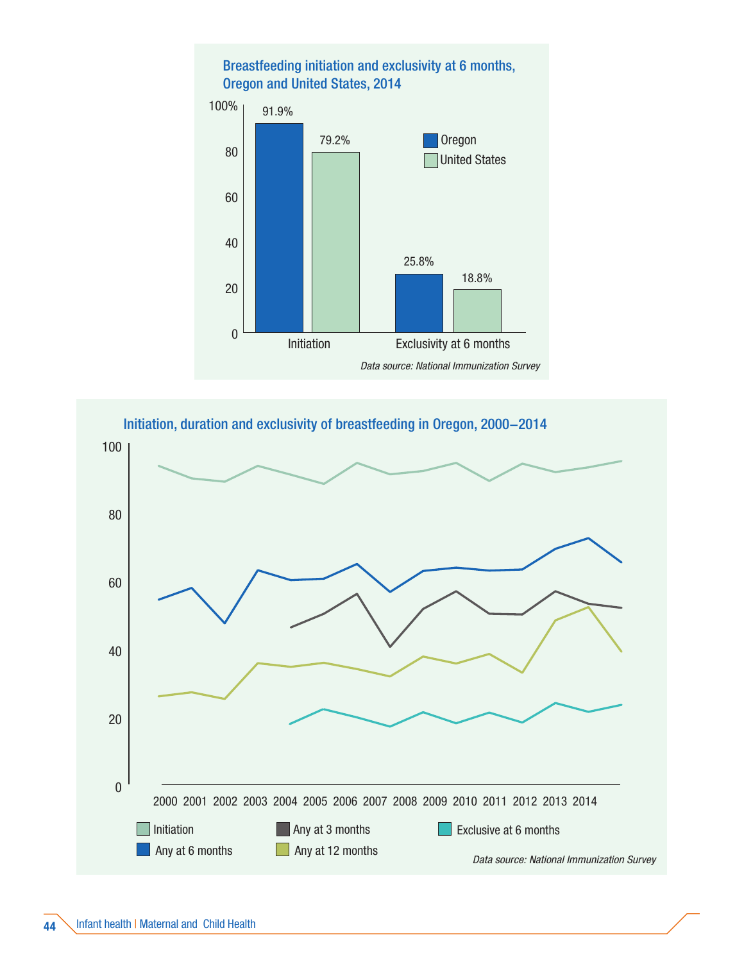

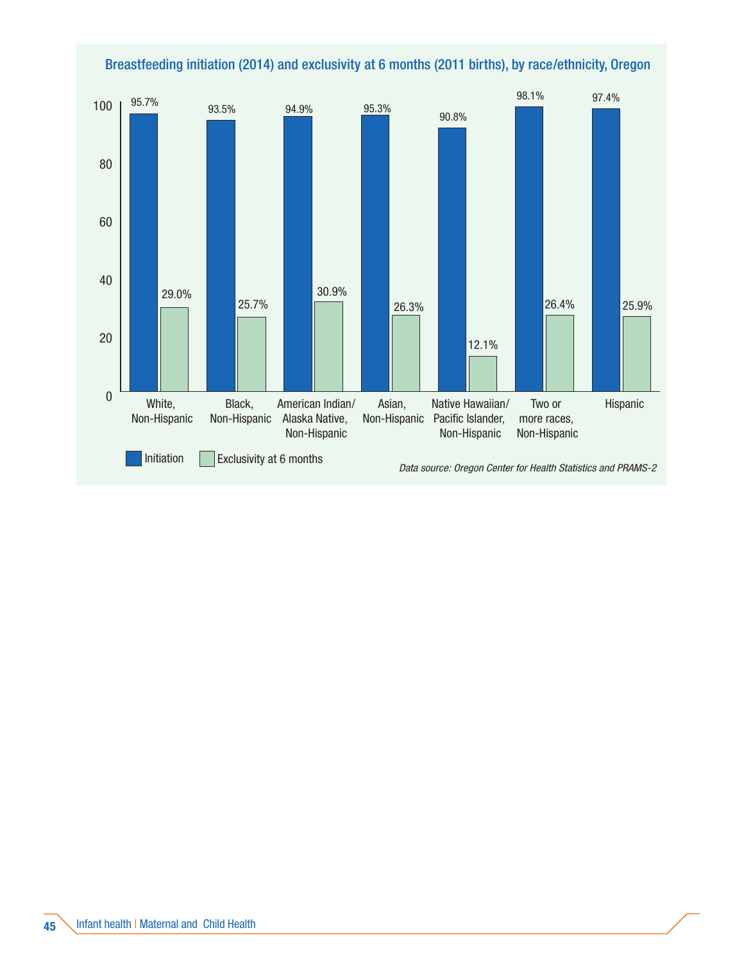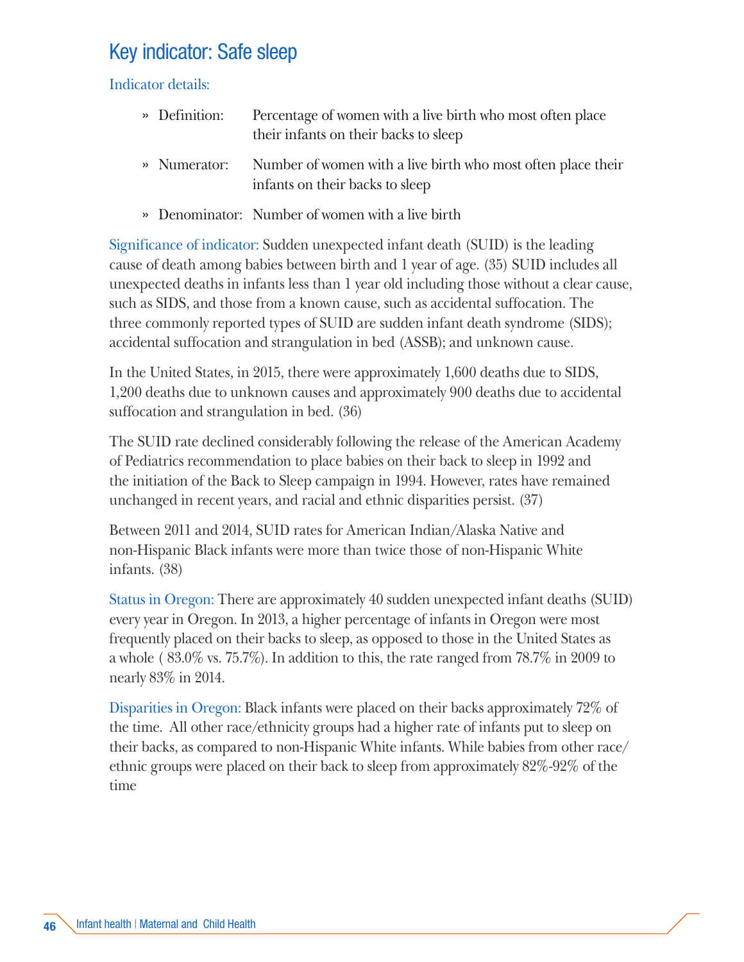# Key indicator: Safe sleep

Indicator details:

| » Definition: | Percentage of women with a live birth who most often place |
|---------------|------------------------------------------------------------|
|               | their infants on their backs to sleep                      |

- » Numerator: Number of women with a live birth who most often place their infants on their backs to sleep
- » Denominator: Number of women with a live birth

Significance of indicator: Sudden unexpected infant death (SUID) is the leading cause of death among babies between birth and 1 year of age. (35) SUID includes all unexpected deaths in infants less than 1 year old including those without a clear cause, such as SIDS, and those from a known cause, such as accidental suffocation. The three commonly reported types of SUID are sudden infant death syndrome (SIDS); accidental suffocation and strangulation in bed (ASSB); and unknown cause.

In the United States, in 2015, there were approximately 1,600 deaths due to SIDS, 1,200 deaths due to unknown causes and approximately 900 deaths due to accidental suffocation and strangulation in bed. (36)

The SUID rate declined considerably following the release of the American Academy of Pediatrics recommendation to place babies on their back to sleep in 1992 and the initiation of the Back to Sleep campaign in 1994. However, rates have remained unchanged in recent years, and racial and ethnic disparities persist. (37)

Between 2011 and 2014, SUID rates for American Indian/Alaska Native and non-Hispanic Black infants were more than twice those of non-Hispanic White infants. (38)

Status in Oregon: There are approximately 40 sudden unexpected infant deaths (SUID) every year in Oregon. In 2013, a higher percentage of infants in Oregon were most frequently placed on their backs to sleep, as opposed to those in the United States as a whole (83.0% vs. 75.7%). In addition to this, the rate ranged from  $78.7\%$  in 2009 to nearly 83% in 2014.

Disparities in Oregon: Black infants were placed on their backs approximately 72% of the time. All other race/ethnicity groups had a higher rate of infants put to sleep on their backs, as compared to non-Hispanic White infants. While babies from other race/ ethnic groups were placed on their back to sleep from approximately 82%-92% of the time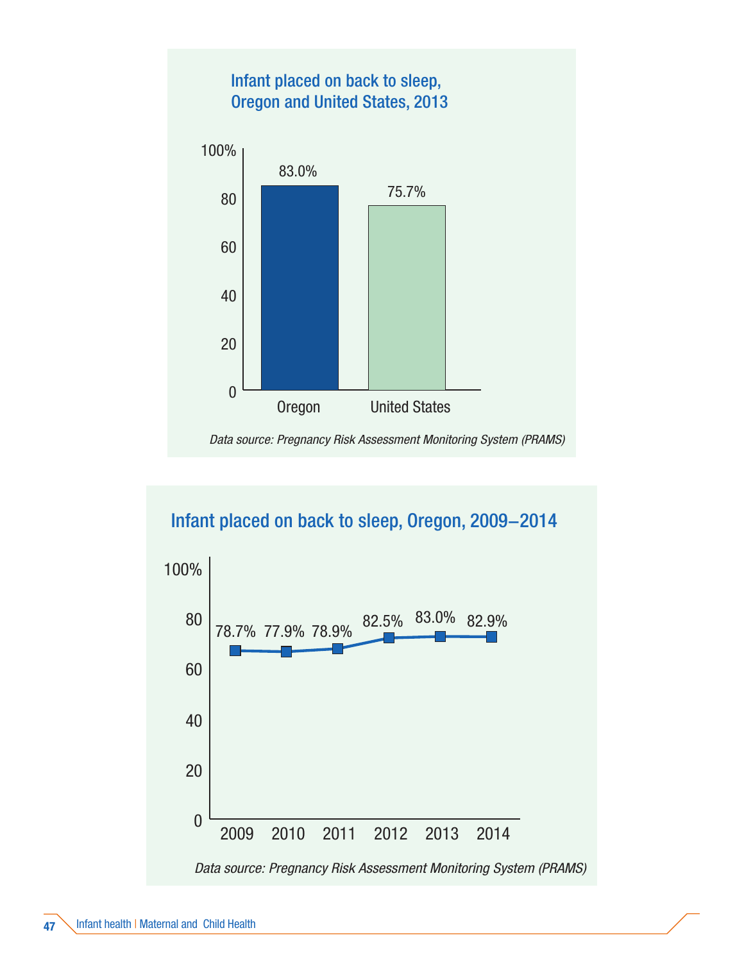

#### Infant placed on back to sleep, Oregon, 2009−2014

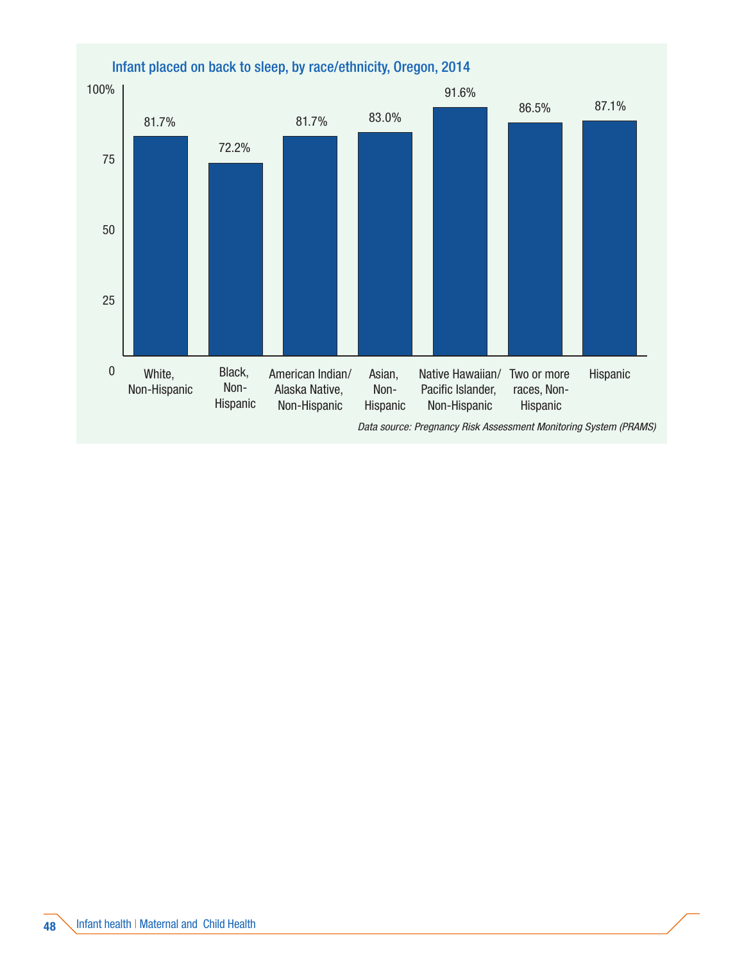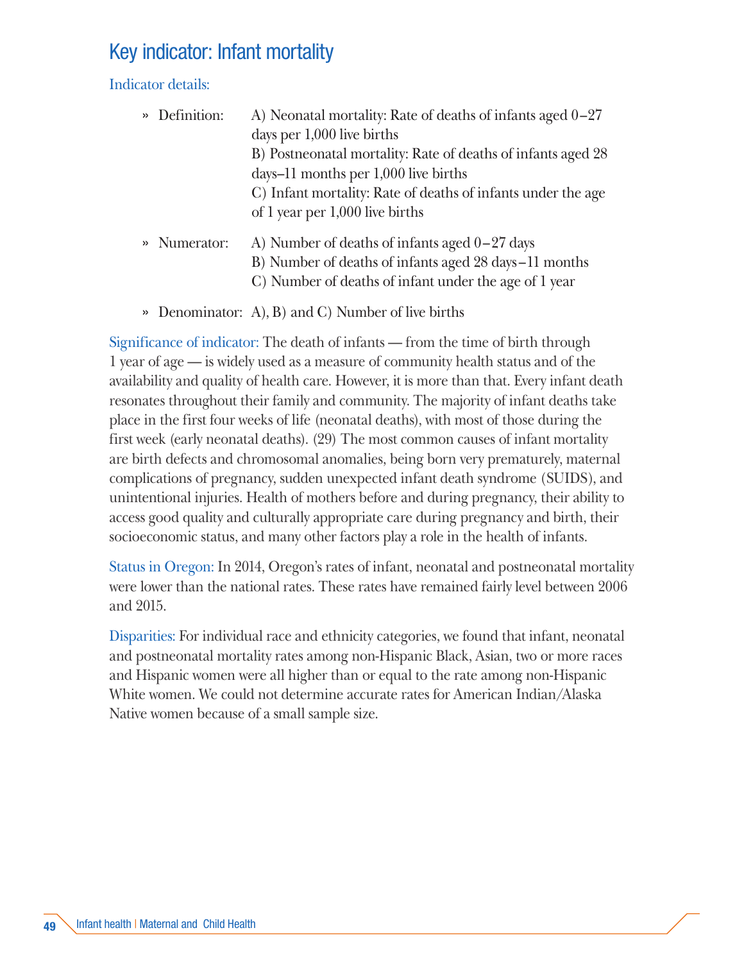# Key indicator: Infant mortality

Indicator details:

| » Definition: | A) Neonatal mortality: Rate of deaths of infants aged $0-27$ |
|---------------|--------------------------------------------------------------|
|               | days per 1,000 live births                                   |
|               | B) Postneonatal mortality: Rate of deaths of infants aged 28 |
|               | days–11 months per $1,000$ live births                       |
|               | C) Infant mortality: Rate of deaths of infants under the age |
|               | of 1 year per 1,000 live births                              |
| » Numerator:  | A) Number of deaths of infants aged $0-27$ days              |
|               | B) Number of deaths of infants aged 28 days -11 months       |
|               | C) Number of deaths of infant under the age of 1 year        |

» Denominator: A), B) and C) Number of live births

Significance of indicator: The death of infants — from the time of birth through 1 year of age — is widely used as a measure of community health status and of the availability and quality of health care. However, it is more than that. Every infant death resonates throughout their family and community. The majority of infant deaths take place in the first four weeks of life (neonatal deaths), with most of those during the first week (early neonatal deaths). (29) The most common causes of infant mortality are birth defects and chromosomal anomalies, being born very prematurely, maternal complications of pregnancy, sudden unexpected infant death syndrome (SUIDS), and unintentional injuries. Health of mothers before and during pregnancy, their ability to access good quality and culturally appropriate care during pregnancy and birth, their socioeconomic status, and many other factors play a role in the health of infants.

Status in Oregon: In 2014, Oregon's rates of infant, neonatal and postneonatal mortality were lower than the national rates. These rates have remained fairly level between 2006 and 2015.

Disparities: For individual race and ethnicity categories, we found that infant, neonatal and postneonatal mortality rates among non-Hispanic Black, Asian, two or more races and Hispanic women were all higher than or equal to the rate among non-Hispanic White women. We could not determine accurate rates for American Indian/Alaska Native women because of a small sample size.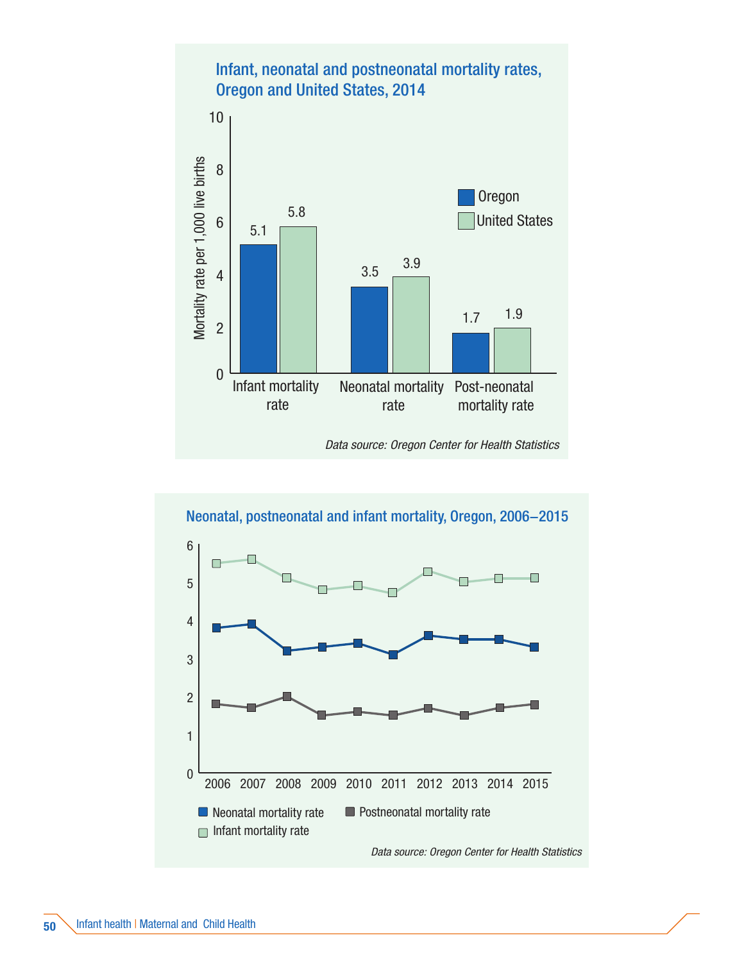